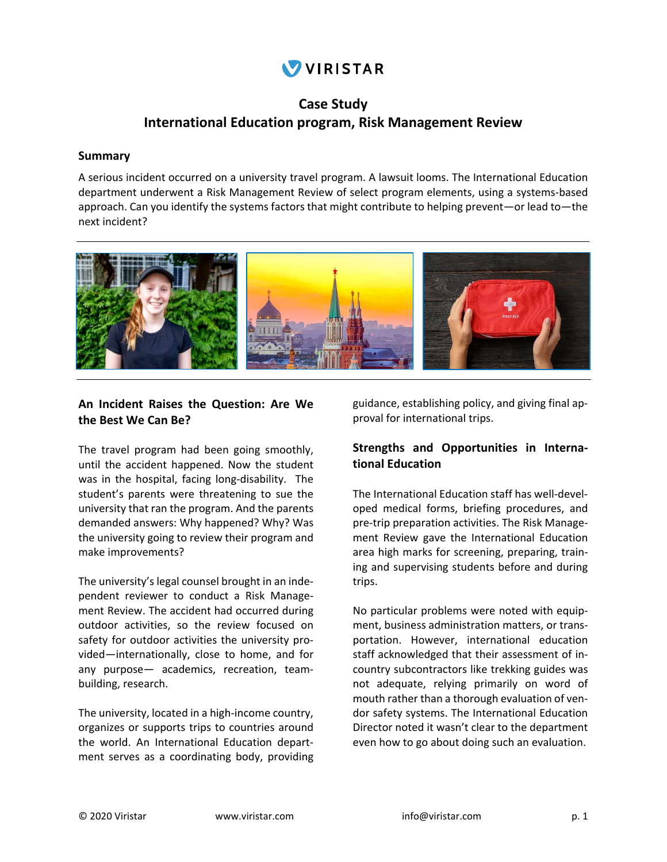# VIRISTAR

## **Case Study International Education program, Risk Management Review**

#### **Summary**

A serious incident occurred on a university travel program. A lawsuit looms. The International Education department underwent a Risk Management Review of select program elements, using a systems‐based approach. Can you identify the systems factors that might contribute to helping prevent—or lead to—the next incident?



#### **An Incident Raises the Question: Are We the Best We Can Be?**

The travel program had been going smoothly, until the accident happened. Now the student was in the hospital, facing long-disability. The student's parents were threatening to sue the university that ran the program. And the parents demanded answers: Why happened? Why? Was the university going to review their program and make improvements?

The university's legal counsel brought in an inde‐ pendent reviewer to conduct a Risk Manage‐ ment Review. The accident had occurred during outdoor activities, so the review focused on safety for outdoor activities the university provided—internationally, close to home, and for any purpose— academics, recreation, team‐ building, research.

The university, located in a high‐income country, organizes or supports trips to countries around the world. An International Education depart‐ ment serves as a coordinating body, providing

guidance, establishing policy, and giving final ap‐ proval for international trips.

#### **Strengths and Opportunities in Interna‐ tional Education**

The International Education staff has well‐devel‐ oped medical forms, briefing procedures, and pre‐trip preparation activities. The Risk Manage‐ ment Review gave the International Education area high marks for screening, preparing, train‐ ing and supervising students before and during trips.

No particular problems were noted with equip‐ ment, business administration matters, or trans‐ portation. However, international education staff acknowledged that their assessment of in‐ country subcontractors like trekking guides was not adequate, relying primarily on word of mouth rather than a thorough evaluation of ven‐ dor safety systems. The International Education Director noted it wasn't clear to the department even how to go about doing such an evaluation.